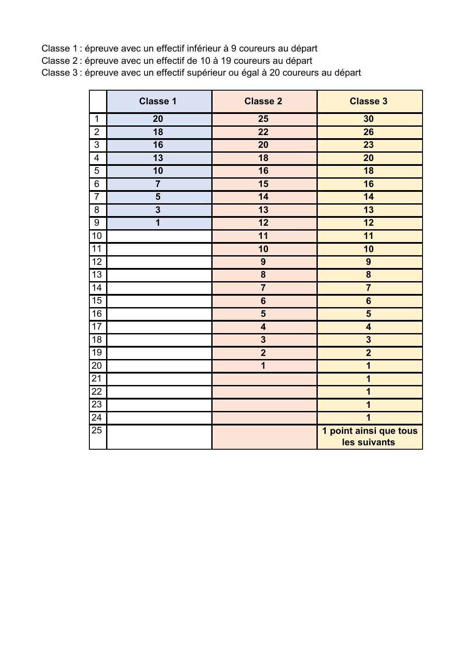Classe 1 : épreuve avec un effectif inférieur à 9 coureurs au départ

Classe 2 : épreuve avec un effectif de 10 à 19 coureurs au départ

Classe 3 : épreuve avec un effectif supérieur ou égal à 20 coureurs au départ

|                 | <b>Classe 1</b>         | <b>Classe 2</b>         | <b>Classe 3</b>         |
|-----------------|-------------------------|-------------------------|-------------------------|
| $\mathbf 1$     | 20                      | 25                      | 30                      |
| $\overline{2}$  | $\overline{18}$         | $\overline{22}$         | $\overline{26}$         |
| 3               | 16                      | 20                      | 23                      |
| 4               | $\overline{13}$         | 18                      | 20                      |
| 5               | 10                      | 16                      | 18                      |
| $\overline{6}$  | $\overline{7}$          | 15                      | 16                      |
| $\overline{7}$  | 5                       | 14                      | 14                      |
| 8               | 3                       | 13                      | 13                      |
| 9               | $\overline{\mathbf{1}}$ | 12                      | 12                      |
| 10              |                         | 11                      | 11                      |
| 11              |                         | 10                      | 10                      |
| $\overline{12}$ |                         | $\overline{9}$          | $\overline{9}$          |
| $\overline{13}$ |                         | $\overline{\mathbf{8}}$ | $\overline{\mathbf{8}}$ |
| 14              |                         |                         | $\overline{\mathbf{7}}$ |
| 15              |                         | $6\phantom{1}6$         | $6\phantom{1}6$         |
| 16              |                         | 5                       | 5                       |
| $\overline{17}$ |                         | $\overline{\mathbf{4}}$ | $\overline{\mathbf{4}}$ |
| 18              |                         | $\overline{\mathbf{3}}$ | $\overline{\mathbf{3}}$ |
| 19              |                         | $\overline{2}$          | $\overline{2}$          |
| $\overline{20}$ |                         | 1                       | $\overline{\mathbf{1}}$ |
| $\overline{21}$ |                         |                         | $\overline{\mathbf{1}}$ |
| $\overline{22}$ |                         |                         | 1                       |
| $\overline{23}$ |                         |                         | $\overline{\mathbf{1}}$ |
| $\overline{24}$ |                         |                         | $\overline{1}$          |
| 25              |                         |                         | 1 point ainsi que tous  |
|                 |                         |                         | les suivants            |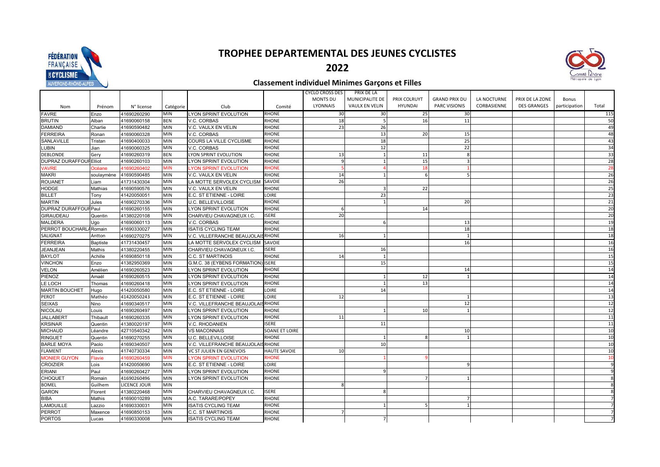



## 2022

#### **Classement individuel Minimes Garçons et Filles**

| <b>MONTS DU</b><br>MUNICIPALITE DE<br>PRIX COLRUYT<br><b>GRAND PRIX DU</b><br>LA NOCTURNE<br>PRIX DE LA ZONE<br>Bonus<br><b>LYONNAIS</b><br><b>VAULX EN VELIN</b><br><b>HYUNDAI</b><br><b>PARC VISIONIS</b><br>CORBASIENNE<br><b>DES GRANGES</b><br>Total<br>participation<br>N° license<br>Catégorie<br>Club<br>Comité<br>Nom<br>Prénom<br><b>MIN</b><br><b>LYON SPRINT EVOLUTION</b><br>RHONE<br>30 <sup>1</sup><br>30<br>25<br>30<br>115<br>41690260290<br>Enzo<br>RHONE<br>18<br>16<br><b>BRUTIN</b><br>41690060158<br>BEN<br>V.C. CORBAS<br>11<br>50<br>Alban<br>41690590482<br>DAMIAND<br>Charlie<br><b>MIN</b><br>V.C. VAULX EN VELIN<br>RHONE<br>23<br>26<br>49<br><b>FERREIRA</b><br><b>MIN</b><br>RHONE<br>13<br>20<br>Ronan<br>41690060328<br>V.C. CORBAS<br>15<br>48<br>SANLAVILLE<br>41690400033<br><b>MIN</b><br>COURS LA VILLE CYCLISME<br>RHONE<br>18<br>25<br>43<br>Tristan<br>41690060325<br><b>MIN</b><br>V.C. CORBAS<br><b>RHONE</b><br>12<br>22<br>34<br><b>UBIN</b><br>Jian<br>41690260319<br><b>BEN</b><br>LYON SPRINT EVOLUTION<br>RHONE<br>13<br>11<br>33<br>Gery<br>-8<br><b>DUPRAZ DURAFFOULEIIIot</b><br>41690260103<br>MIN<br>LYON SPRINT EVOLUTION<br>RHONE<br>15<br>28<br>q<br>Е<br>41690260402<br><b>MIN</b><br><b>LYON SPRINT EVOLUTION</b><br><b>RHONE</b><br>18<br><b>/AVRE</b><br>Océane<br>28<br>26<br>MIN<br>RHONE<br>14<br>6<br>Makri<br>41690590485<br>V.C. VAULX EN VELIN<br>soulaymène<br>MIN<br>26<br>26<br>SAVOIE<br>41731430304<br>LA MOTTE SERVOLEX CYCLISM<br>Liam<br>22<br>25<br>MIN<br>RHONE<br>HODGE<br>41690590576<br>V.C. VAULX EN VELIN<br>Mathias<br>MIN<br>LOIRE<br>23<br><b>BILLET</b><br>41420050051<br>E.C. ST ETIENNE - LOIRE<br>23<br>Tony<br>20<br>21<br>MIN<br><b>U.C. BELLEVILLOISE</b><br>RHONE<br><b>ARTIN</b><br>41690270336<br>Jules<br>20<br>MIN<br>RHONE<br>14<br>DUPRAZ DURAFFOURPaul<br>41690260155<br>LYON SPRINT EVOLUTION<br>h<br>20<br>20<br><b>ISERE</b><br><b>GIRAUDEAU</b><br>41380220108<br><b>MIN</b><br>CHARVIEU CHAVAGNEUX I.C.<br>Quentin<br>RHONE<br>41690060113<br>MIN<br>V.C. CORBAS<br>13<br>19<br>Uao<br><b>MIN</b><br>RHONE<br>18<br>18<br>PERROT BOUCHARLARomain<br>41690330027<br><b>ISATIS CYCLING TEAM</b><br>41690270275<br>MIN<br>V.C. VILLEFRANCHE BEAUJOLAIS RHONE<br><b>16</b><br>$\overline{1}$<br>18<br>Antton<br><b>MIN</b><br>16<br>16<br><b>FERREIRA</b><br>41731430457<br>LA MOTTE SERVOLEX CYCLISM<br>SAVOIE<br><b>Baptiste</b><br>MIN<br><b>JEANJEAN</b><br>41380220455<br>ISERE<br>16<br>Mathis<br>CHARVIEU CHAVAGNEUX I.C.<br>16<br><b>MIN</b><br>RHONE<br>14<br>15<br>Achille<br>41690850118<br><b>C.C. ST MARTINOIS</b><br>15<br><b>MIN</b><br>G.M.C. 38 (EYBENS FORMATION) ISERE<br>15<br><b>VINCHON</b><br>41382950369<br>Enzo<br>VELON<br>41690260523<br><b>MIN</b><br><b>LYON SPRINT EVOLUTION</b><br>RHONE<br>14<br>Amélien<br>14<br>41690260515<br>MIN<br>LYON SPRINT EVOLUTION<br><b>RHONE</b><br>12<br>14<br>Amaël<br>$\overline{1}$<br>E LOCH<br>41690260418<br><b>MIN</b><br>LYON SPRINT EVOLUTION<br>RHONE<br>13<br>14<br>Thomas<br><b>MARTIN BOUCHET</b><br>41420050580<br><b>MIN</b><br>E.C. ST ETIENNE - LOIRE<br>14<br>14<br>Hugo<br>LOIRE<br>E.C. ST ETIENNE - LOIRE<br>PEROT<br>41420050243<br>MIN<br>LOIRE<br>12<br>13<br>Mathéo<br>12<br>12<br><b>SEIXAS</b><br>41690340517<br><b>MIN</b><br>V.C. VILLEFRANCHE BEAUJOLAIS RHONE<br>Nino<br>41690260497<br><b>MIN</b><br><b>LYON SPRINT EVOLUTION</b><br>12<br>RHONE<br>10<br>Louis<br>11<br><b>JALLABERT</b><br>41690260335<br>MIN<br>LYON SPRINT EVOLUTION<br>RHONE<br>11<br>Thibault<br><b>ISERE</b><br>MIN<br><b>KRSINAR</b><br>41380020197<br>V.C. RHODANIEN<br>11<br>11<br>Quentin<br>10<br>MIN<br>SOANE ET LOIRE<br>10<br><b>MICHAUD</b><br>42710540342<br><b>VS MACONNAIS</b><br>Léandre<br>MIN<br>RHONE<br>41690270255<br>U.C. BELLEVILLOISE<br>10<br>8<br>Quentin<br>MIN<br>V.C. VILLEFRANCHE BEAUJOLAIS RHONE<br>10<br>10<br><b>BARLE MOYA</b><br>Paolo<br>41690340507<br>MIN<br>VC ST JULIEN EN GENEVOIS<br><b>HAUTE SAVOIE</b><br>Alexis<br>41740730334<br>10 <sup>1</sup><br>10<br><b>IONIER GUYON</b><br>MIN<br><b>LYON SPRINT EVOLUTION</b><br><b>RHONE</b><br>10<br>11690260459<br>Flavie<br>MIN<br>LOIRE<br>9<br><b>CROIZIER</b><br>41420050690<br>E.C. ST ETIENNE - LOIRE<br>Lois<br><b>MIN</b><br>RHONE<br>ERIANI<br>Paul<br>41690260427<br>LYON SPRINT EVOLUTION<br><b>MIN</b><br>41690260496<br>LYON SPRINT EVOLUTION<br>RHONE<br><b>CHOQUET</b><br>Romain<br>8<br><b>MIN</b><br><b>BOMEL</b><br>Guilhem<br>LICENCE JOUR<br>R<br><b>MIN</b><br><b>ISERE</b><br>GARON<br>41380220468<br>CHARVIEU CHAVAGNEUX I.C.<br>Florent<br>8<br><b>MIN</b><br>RHONE<br>BIBA<br>Mathis<br>41690010289<br>A.C. TARARE/POPEY<br><b>AMOUILLE</b><br>41690330031<br>MIN<br><b>ISATIS CYCLING TEAM</b><br>RHONE<br>_azzio<br>.5<br><b>PERROT</b><br><b>C.C. ST MARTINOIS</b><br>RHONE<br>41690850153<br>MIN<br>Maxence<br>41690330008<br><b>MIN</b><br><b>ISATIS CYCLING TEAM</b><br>RHONE<br>Lucas |                 |  |  | <b>CYCLO CROSS DES</b> | PRIX DE LA |  |  |  |
|----------------------------------------------------------------------------------------------------------------------------------------------------------------------------------------------------------------------------------------------------------------------------------------------------------------------------------------------------------------------------------------------------------------------------------------------------------------------------------------------------------------------------------------------------------------------------------------------------------------------------------------------------------------------------------------------------------------------------------------------------------------------------------------------------------------------------------------------------------------------------------------------------------------------------------------------------------------------------------------------------------------------------------------------------------------------------------------------------------------------------------------------------------------------------------------------------------------------------------------------------------------------------------------------------------------------------------------------------------------------------------------------------------------------------------------------------------------------------------------------------------------------------------------------------------------------------------------------------------------------------------------------------------------------------------------------------------------------------------------------------------------------------------------------------------------------------------------------------------------------------------------------------------------------------------------------------------------------------------------------------------------------------------------------------------------------------------------------------------------------------------------------------------------------------------------------------------------------------------------------------------------------------------------------------------------------------------------------------------------------------------------------------------------------------------------------------------------------------------------------------------------------------------------------------------------------------------------------------------------------------------------------------------------------------------------------------------------------------------------------------------------------------------------------------------------------------------------------------------------------------------------------------------------------------------------------------------------------------------------------------------------------------------------------------------------------------------------------------------------------------------------------------------------------------------------------------------------------------------------------------------------------------------------------------------------------------------------------------------------------------------------------------------------------------------------------------------------------------------------------------------------------------------------------------------------------------------------------------------------------------------------------------------------------------------------------------------------------------------------------------------------------------------------------------------------------------------------------------------------------------------------------------------------------------------------------------------------------------------------------------------------------------------------------------------------------------------------------------------------------------------------------------------------------------------------------------------------------------------------------------------------------------------------------------------------------------------------------------------------------------------------------------------------------------------------------------------------------------------------------------------------------------------------------------------------------------------------------------------------------------------------------------------------------------------------------------------------------------------------------------------------------------------------------------------------------------------------------------------------------------------------------------------------------------------------------------------------------------------------|-----------------|--|--|------------------------|------------|--|--|--|
|                                                                                                                                                                                                                                                                                                                                                                                                                                                                                                                                                                                                                                                                                                                                                                                                                                                                                                                                                                                                                                                                                                                                                                                                                                                                                                                                                                                                                                                                                                                                                                                                                                                                                                                                                                                                                                                                                                                                                                                                                                                                                                                                                                                                                                                                                                                                                                                                                                                                                                                                                                                                                                                                                                                                                                                                                                                                                                                                                                                                                                                                                                                                                                                                                                                                                                                                                                                                                                                                                                                                                                                                                                                                                                                                                                                                                                                                                                                                                                                                                                                                                                                                                                                                                                                                                                                                                                                                                                                                                                                                                                                                                                                                                                                                                                                                                                                                                                                                                                                        |                 |  |  |                        |            |  |  |  |
|                                                                                                                                                                                                                                                                                                                                                                                                                                                                                                                                                                                                                                                                                                                                                                                                                                                                                                                                                                                                                                                                                                                                                                                                                                                                                                                                                                                                                                                                                                                                                                                                                                                                                                                                                                                                                                                                                                                                                                                                                                                                                                                                                                                                                                                                                                                                                                                                                                                                                                                                                                                                                                                                                                                                                                                                                                                                                                                                                                                                                                                                                                                                                                                                                                                                                                                                                                                                                                                                                                                                                                                                                                                                                                                                                                                                                                                                                                                                                                                                                                                                                                                                                                                                                                                                                                                                                                                                                                                                                                                                                                                                                                                                                                                                                                                                                                                                                                                                                                                        |                 |  |  |                        |            |  |  |  |
|                                                                                                                                                                                                                                                                                                                                                                                                                                                                                                                                                                                                                                                                                                                                                                                                                                                                                                                                                                                                                                                                                                                                                                                                                                                                                                                                                                                                                                                                                                                                                                                                                                                                                                                                                                                                                                                                                                                                                                                                                                                                                                                                                                                                                                                                                                                                                                                                                                                                                                                                                                                                                                                                                                                                                                                                                                                                                                                                                                                                                                                                                                                                                                                                                                                                                                                                                                                                                                                                                                                                                                                                                                                                                                                                                                                                                                                                                                                                                                                                                                                                                                                                                                                                                                                                                                                                                                                                                                                                                                                                                                                                                                                                                                                                                                                                                                                                                                                                                                                        | <b>FAVRE</b>    |  |  |                        |            |  |  |  |
|                                                                                                                                                                                                                                                                                                                                                                                                                                                                                                                                                                                                                                                                                                                                                                                                                                                                                                                                                                                                                                                                                                                                                                                                                                                                                                                                                                                                                                                                                                                                                                                                                                                                                                                                                                                                                                                                                                                                                                                                                                                                                                                                                                                                                                                                                                                                                                                                                                                                                                                                                                                                                                                                                                                                                                                                                                                                                                                                                                                                                                                                                                                                                                                                                                                                                                                                                                                                                                                                                                                                                                                                                                                                                                                                                                                                                                                                                                                                                                                                                                                                                                                                                                                                                                                                                                                                                                                                                                                                                                                                                                                                                                                                                                                                                                                                                                                                                                                                                                                        |                 |  |  |                        |            |  |  |  |
|                                                                                                                                                                                                                                                                                                                                                                                                                                                                                                                                                                                                                                                                                                                                                                                                                                                                                                                                                                                                                                                                                                                                                                                                                                                                                                                                                                                                                                                                                                                                                                                                                                                                                                                                                                                                                                                                                                                                                                                                                                                                                                                                                                                                                                                                                                                                                                                                                                                                                                                                                                                                                                                                                                                                                                                                                                                                                                                                                                                                                                                                                                                                                                                                                                                                                                                                                                                                                                                                                                                                                                                                                                                                                                                                                                                                                                                                                                                                                                                                                                                                                                                                                                                                                                                                                                                                                                                                                                                                                                                                                                                                                                                                                                                                                                                                                                                                                                                                                                                        |                 |  |  |                        |            |  |  |  |
|                                                                                                                                                                                                                                                                                                                                                                                                                                                                                                                                                                                                                                                                                                                                                                                                                                                                                                                                                                                                                                                                                                                                                                                                                                                                                                                                                                                                                                                                                                                                                                                                                                                                                                                                                                                                                                                                                                                                                                                                                                                                                                                                                                                                                                                                                                                                                                                                                                                                                                                                                                                                                                                                                                                                                                                                                                                                                                                                                                                                                                                                                                                                                                                                                                                                                                                                                                                                                                                                                                                                                                                                                                                                                                                                                                                                                                                                                                                                                                                                                                                                                                                                                                                                                                                                                                                                                                                                                                                                                                                                                                                                                                                                                                                                                                                                                                                                                                                                                                                        |                 |  |  |                        |            |  |  |  |
|                                                                                                                                                                                                                                                                                                                                                                                                                                                                                                                                                                                                                                                                                                                                                                                                                                                                                                                                                                                                                                                                                                                                                                                                                                                                                                                                                                                                                                                                                                                                                                                                                                                                                                                                                                                                                                                                                                                                                                                                                                                                                                                                                                                                                                                                                                                                                                                                                                                                                                                                                                                                                                                                                                                                                                                                                                                                                                                                                                                                                                                                                                                                                                                                                                                                                                                                                                                                                                                                                                                                                                                                                                                                                                                                                                                                                                                                                                                                                                                                                                                                                                                                                                                                                                                                                                                                                                                                                                                                                                                                                                                                                                                                                                                                                                                                                                                                                                                                                                                        |                 |  |  |                        |            |  |  |  |
|                                                                                                                                                                                                                                                                                                                                                                                                                                                                                                                                                                                                                                                                                                                                                                                                                                                                                                                                                                                                                                                                                                                                                                                                                                                                                                                                                                                                                                                                                                                                                                                                                                                                                                                                                                                                                                                                                                                                                                                                                                                                                                                                                                                                                                                                                                                                                                                                                                                                                                                                                                                                                                                                                                                                                                                                                                                                                                                                                                                                                                                                                                                                                                                                                                                                                                                                                                                                                                                                                                                                                                                                                                                                                                                                                                                                                                                                                                                                                                                                                                                                                                                                                                                                                                                                                                                                                                                                                                                                                                                                                                                                                                                                                                                                                                                                                                                                                                                                                                                        |                 |  |  |                        |            |  |  |  |
|                                                                                                                                                                                                                                                                                                                                                                                                                                                                                                                                                                                                                                                                                                                                                                                                                                                                                                                                                                                                                                                                                                                                                                                                                                                                                                                                                                                                                                                                                                                                                                                                                                                                                                                                                                                                                                                                                                                                                                                                                                                                                                                                                                                                                                                                                                                                                                                                                                                                                                                                                                                                                                                                                                                                                                                                                                                                                                                                                                                                                                                                                                                                                                                                                                                                                                                                                                                                                                                                                                                                                                                                                                                                                                                                                                                                                                                                                                                                                                                                                                                                                                                                                                                                                                                                                                                                                                                                                                                                                                                                                                                                                                                                                                                                                                                                                                                                                                                                                                                        | <b>DEBLONDE</b> |  |  |                        |            |  |  |  |
|                                                                                                                                                                                                                                                                                                                                                                                                                                                                                                                                                                                                                                                                                                                                                                                                                                                                                                                                                                                                                                                                                                                                                                                                                                                                                                                                                                                                                                                                                                                                                                                                                                                                                                                                                                                                                                                                                                                                                                                                                                                                                                                                                                                                                                                                                                                                                                                                                                                                                                                                                                                                                                                                                                                                                                                                                                                                                                                                                                                                                                                                                                                                                                                                                                                                                                                                                                                                                                                                                                                                                                                                                                                                                                                                                                                                                                                                                                                                                                                                                                                                                                                                                                                                                                                                                                                                                                                                                                                                                                                                                                                                                                                                                                                                                                                                                                                                                                                                                                                        |                 |  |  |                        |            |  |  |  |
|                                                                                                                                                                                                                                                                                                                                                                                                                                                                                                                                                                                                                                                                                                                                                                                                                                                                                                                                                                                                                                                                                                                                                                                                                                                                                                                                                                                                                                                                                                                                                                                                                                                                                                                                                                                                                                                                                                                                                                                                                                                                                                                                                                                                                                                                                                                                                                                                                                                                                                                                                                                                                                                                                                                                                                                                                                                                                                                                                                                                                                                                                                                                                                                                                                                                                                                                                                                                                                                                                                                                                                                                                                                                                                                                                                                                                                                                                                                                                                                                                                                                                                                                                                                                                                                                                                                                                                                                                                                                                                                                                                                                                                                                                                                                                                                                                                                                                                                                                                                        |                 |  |  |                        |            |  |  |  |
|                                                                                                                                                                                                                                                                                                                                                                                                                                                                                                                                                                                                                                                                                                                                                                                                                                                                                                                                                                                                                                                                                                                                                                                                                                                                                                                                                                                                                                                                                                                                                                                                                                                                                                                                                                                                                                                                                                                                                                                                                                                                                                                                                                                                                                                                                                                                                                                                                                                                                                                                                                                                                                                                                                                                                                                                                                                                                                                                                                                                                                                                                                                                                                                                                                                                                                                                                                                                                                                                                                                                                                                                                                                                                                                                                                                                                                                                                                                                                                                                                                                                                                                                                                                                                                                                                                                                                                                                                                                                                                                                                                                                                                                                                                                                                                                                                                                                                                                                                                                        |                 |  |  |                        |            |  |  |  |
|                                                                                                                                                                                                                                                                                                                                                                                                                                                                                                                                                                                                                                                                                                                                                                                                                                                                                                                                                                                                                                                                                                                                                                                                                                                                                                                                                                                                                                                                                                                                                                                                                                                                                                                                                                                                                                                                                                                                                                                                                                                                                                                                                                                                                                                                                                                                                                                                                                                                                                                                                                                                                                                                                                                                                                                                                                                                                                                                                                                                                                                                                                                                                                                                                                                                                                                                                                                                                                                                                                                                                                                                                                                                                                                                                                                                                                                                                                                                                                                                                                                                                                                                                                                                                                                                                                                                                                                                                                                                                                                                                                                                                                                                                                                                                                                                                                                                                                                                                                                        | <b>ROUANET</b>  |  |  |                        |            |  |  |  |
|                                                                                                                                                                                                                                                                                                                                                                                                                                                                                                                                                                                                                                                                                                                                                                                                                                                                                                                                                                                                                                                                                                                                                                                                                                                                                                                                                                                                                                                                                                                                                                                                                                                                                                                                                                                                                                                                                                                                                                                                                                                                                                                                                                                                                                                                                                                                                                                                                                                                                                                                                                                                                                                                                                                                                                                                                                                                                                                                                                                                                                                                                                                                                                                                                                                                                                                                                                                                                                                                                                                                                                                                                                                                                                                                                                                                                                                                                                                                                                                                                                                                                                                                                                                                                                                                                                                                                                                                                                                                                                                                                                                                                                                                                                                                                                                                                                                                                                                                                                                        |                 |  |  |                        |            |  |  |  |
|                                                                                                                                                                                                                                                                                                                                                                                                                                                                                                                                                                                                                                                                                                                                                                                                                                                                                                                                                                                                                                                                                                                                                                                                                                                                                                                                                                                                                                                                                                                                                                                                                                                                                                                                                                                                                                                                                                                                                                                                                                                                                                                                                                                                                                                                                                                                                                                                                                                                                                                                                                                                                                                                                                                                                                                                                                                                                                                                                                                                                                                                                                                                                                                                                                                                                                                                                                                                                                                                                                                                                                                                                                                                                                                                                                                                                                                                                                                                                                                                                                                                                                                                                                                                                                                                                                                                                                                                                                                                                                                                                                                                                                                                                                                                                                                                                                                                                                                                                                                        |                 |  |  |                        |            |  |  |  |
|                                                                                                                                                                                                                                                                                                                                                                                                                                                                                                                                                                                                                                                                                                                                                                                                                                                                                                                                                                                                                                                                                                                                                                                                                                                                                                                                                                                                                                                                                                                                                                                                                                                                                                                                                                                                                                                                                                                                                                                                                                                                                                                                                                                                                                                                                                                                                                                                                                                                                                                                                                                                                                                                                                                                                                                                                                                                                                                                                                                                                                                                                                                                                                                                                                                                                                                                                                                                                                                                                                                                                                                                                                                                                                                                                                                                                                                                                                                                                                                                                                                                                                                                                                                                                                                                                                                                                                                                                                                                                                                                                                                                                                                                                                                                                                                                                                                                                                                                                                                        |                 |  |  |                        |            |  |  |  |
|                                                                                                                                                                                                                                                                                                                                                                                                                                                                                                                                                                                                                                                                                                                                                                                                                                                                                                                                                                                                                                                                                                                                                                                                                                                                                                                                                                                                                                                                                                                                                                                                                                                                                                                                                                                                                                                                                                                                                                                                                                                                                                                                                                                                                                                                                                                                                                                                                                                                                                                                                                                                                                                                                                                                                                                                                                                                                                                                                                                                                                                                                                                                                                                                                                                                                                                                                                                                                                                                                                                                                                                                                                                                                                                                                                                                                                                                                                                                                                                                                                                                                                                                                                                                                                                                                                                                                                                                                                                                                                                                                                                                                                                                                                                                                                                                                                                                                                                                                                                        |                 |  |  |                        |            |  |  |  |
|                                                                                                                                                                                                                                                                                                                                                                                                                                                                                                                                                                                                                                                                                                                                                                                                                                                                                                                                                                                                                                                                                                                                                                                                                                                                                                                                                                                                                                                                                                                                                                                                                                                                                                                                                                                                                                                                                                                                                                                                                                                                                                                                                                                                                                                                                                                                                                                                                                                                                                                                                                                                                                                                                                                                                                                                                                                                                                                                                                                                                                                                                                                                                                                                                                                                                                                                                                                                                                                                                                                                                                                                                                                                                                                                                                                                                                                                                                                                                                                                                                                                                                                                                                                                                                                                                                                                                                                                                                                                                                                                                                                                                                                                                                                                                                                                                                                                                                                                                                                        |                 |  |  |                        |            |  |  |  |
|                                                                                                                                                                                                                                                                                                                                                                                                                                                                                                                                                                                                                                                                                                                                                                                                                                                                                                                                                                                                                                                                                                                                                                                                                                                                                                                                                                                                                                                                                                                                                                                                                                                                                                                                                                                                                                                                                                                                                                                                                                                                                                                                                                                                                                                                                                                                                                                                                                                                                                                                                                                                                                                                                                                                                                                                                                                                                                                                                                                                                                                                                                                                                                                                                                                                                                                                                                                                                                                                                                                                                                                                                                                                                                                                                                                                                                                                                                                                                                                                                                                                                                                                                                                                                                                                                                                                                                                                                                                                                                                                                                                                                                                                                                                                                                                                                                                                                                                                                                                        | <b>MALDERA</b>  |  |  |                        |            |  |  |  |
|                                                                                                                                                                                                                                                                                                                                                                                                                                                                                                                                                                                                                                                                                                                                                                                                                                                                                                                                                                                                                                                                                                                                                                                                                                                                                                                                                                                                                                                                                                                                                                                                                                                                                                                                                                                                                                                                                                                                                                                                                                                                                                                                                                                                                                                                                                                                                                                                                                                                                                                                                                                                                                                                                                                                                                                                                                                                                                                                                                                                                                                                                                                                                                                                                                                                                                                                                                                                                                                                                                                                                                                                                                                                                                                                                                                                                                                                                                                                                                                                                                                                                                                                                                                                                                                                                                                                                                                                                                                                                                                                                                                                                                                                                                                                                                                                                                                                                                                                                                                        |                 |  |  |                        |            |  |  |  |
|                                                                                                                                                                                                                                                                                                                                                                                                                                                                                                                                                                                                                                                                                                                                                                                                                                                                                                                                                                                                                                                                                                                                                                                                                                                                                                                                                                                                                                                                                                                                                                                                                                                                                                                                                                                                                                                                                                                                                                                                                                                                                                                                                                                                                                                                                                                                                                                                                                                                                                                                                                                                                                                                                                                                                                                                                                                                                                                                                                                                                                                                                                                                                                                                                                                                                                                                                                                                                                                                                                                                                                                                                                                                                                                                                                                                                                                                                                                                                                                                                                                                                                                                                                                                                                                                                                                                                                                                                                                                                                                                                                                                                                                                                                                                                                                                                                                                                                                                                                                        | SALIGNAT        |  |  |                        |            |  |  |  |
|                                                                                                                                                                                                                                                                                                                                                                                                                                                                                                                                                                                                                                                                                                                                                                                                                                                                                                                                                                                                                                                                                                                                                                                                                                                                                                                                                                                                                                                                                                                                                                                                                                                                                                                                                                                                                                                                                                                                                                                                                                                                                                                                                                                                                                                                                                                                                                                                                                                                                                                                                                                                                                                                                                                                                                                                                                                                                                                                                                                                                                                                                                                                                                                                                                                                                                                                                                                                                                                                                                                                                                                                                                                                                                                                                                                                                                                                                                                                                                                                                                                                                                                                                                                                                                                                                                                                                                                                                                                                                                                                                                                                                                                                                                                                                                                                                                                                                                                                                                                        |                 |  |  |                        |            |  |  |  |
|                                                                                                                                                                                                                                                                                                                                                                                                                                                                                                                                                                                                                                                                                                                                                                                                                                                                                                                                                                                                                                                                                                                                                                                                                                                                                                                                                                                                                                                                                                                                                                                                                                                                                                                                                                                                                                                                                                                                                                                                                                                                                                                                                                                                                                                                                                                                                                                                                                                                                                                                                                                                                                                                                                                                                                                                                                                                                                                                                                                                                                                                                                                                                                                                                                                                                                                                                                                                                                                                                                                                                                                                                                                                                                                                                                                                                                                                                                                                                                                                                                                                                                                                                                                                                                                                                                                                                                                                                                                                                                                                                                                                                                                                                                                                                                                                                                                                                                                                                                                        |                 |  |  |                        |            |  |  |  |
|                                                                                                                                                                                                                                                                                                                                                                                                                                                                                                                                                                                                                                                                                                                                                                                                                                                                                                                                                                                                                                                                                                                                                                                                                                                                                                                                                                                                                                                                                                                                                                                                                                                                                                                                                                                                                                                                                                                                                                                                                                                                                                                                                                                                                                                                                                                                                                                                                                                                                                                                                                                                                                                                                                                                                                                                                                                                                                                                                                                                                                                                                                                                                                                                                                                                                                                                                                                                                                                                                                                                                                                                                                                                                                                                                                                                                                                                                                                                                                                                                                                                                                                                                                                                                                                                                                                                                                                                                                                                                                                                                                                                                                                                                                                                                                                                                                                                                                                                                                                        | <b>BAYLOT</b>   |  |  |                        |            |  |  |  |
|                                                                                                                                                                                                                                                                                                                                                                                                                                                                                                                                                                                                                                                                                                                                                                                                                                                                                                                                                                                                                                                                                                                                                                                                                                                                                                                                                                                                                                                                                                                                                                                                                                                                                                                                                                                                                                                                                                                                                                                                                                                                                                                                                                                                                                                                                                                                                                                                                                                                                                                                                                                                                                                                                                                                                                                                                                                                                                                                                                                                                                                                                                                                                                                                                                                                                                                                                                                                                                                                                                                                                                                                                                                                                                                                                                                                                                                                                                                                                                                                                                                                                                                                                                                                                                                                                                                                                                                                                                                                                                                                                                                                                                                                                                                                                                                                                                                                                                                                                                                        |                 |  |  |                        |            |  |  |  |
|                                                                                                                                                                                                                                                                                                                                                                                                                                                                                                                                                                                                                                                                                                                                                                                                                                                                                                                                                                                                                                                                                                                                                                                                                                                                                                                                                                                                                                                                                                                                                                                                                                                                                                                                                                                                                                                                                                                                                                                                                                                                                                                                                                                                                                                                                                                                                                                                                                                                                                                                                                                                                                                                                                                                                                                                                                                                                                                                                                                                                                                                                                                                                                                                                                                                                                                                                                                                                                                                                                                                                                                                                                                                                                                                                                                                                                                                                                                                                                                                                                                                                                                                                                                                                                                                                                                                                                                                                                                                                                                                                                                                                                                                                                                                                                                                                                                                                                                                                                                        |                 |  |  |                        |            |  |  |  |
|                                                                                                                                                                                                                                                                                                                                                                                                                                                                                                                                                                                                                                                                                                                                                                                                                                                                                                                                                                                                                                                                                                                                                                                                                                                                                                                                                                                                                                                                                                                                                                                                                                                                                                                                                                                                                                                                                                                                                                                                                                                                                                                                                                                                                                                                                                                                                                                                                                                                                                                                                                                                                                                                                                                                                                                                                                                                                                                                                                                                                                                                                                                                                                                                                                                                                                                                                                                                                                                                                                                                                                                                                                                                                                                                                                                                                                                                                                                                                                                                                                                                                                                                                                                                                                                                                                                                                                                                                                                                                                                                                                                                                                                                                                                                                                                                                                                                                                                                                                                        | PIENOZ          |  |  |                        |            |  |  |  |
|                                                                                                                                                                                                                                                                                                                                                                                                                                                                                                                                                                                                                                                                                                                                                                                                                                                                                                                                                                                                                                                                                                                                                                                                                                                                                                                                                                                                                                                                                                                                                                                                                                                                                                                                                                                                                                                                                                                                                                                                                                                                                                                                                                                                                                                                                                                                                                                                                                                                                                                                                                                                                                                                                                                                                                                                                                                                                                                                                                                                                                                                                                                                                                                                                                                                                                                                                                                                                                                                                                                                                                                                                                                                                                                                                                                                                                                                                                                                                                                                                                                                                                                                                                                                                                                                                                                                                                                                                                                                                                                                                                                                                                                                                                                                                                                                                                                                                                                                                                                        |                 |  |  |                        |            |  |  |  |
|                                                                                                                                                                                                                                                                                                                                                                                                                                                                                                                                                                                                                                                                                                                                                                                                                                                                                                                                                                                                                                                                                                                                                                                                                                                                                                                                                                                                                                                                                                                                                                                                                                                                                                                                                                                                                                                                                                                                                                                                                                                                                                                                                                                                                                                                                                                                                                                                                                                                                                                                                                                                                                                                                                                                                                                                                                                                                                                                                                                                                                                                                                                                                                                                                                                                                                                                                                                                                                                                                                                                                                                                                                                                                                                                                                                                                                                                                                                                                                                                                                                                                                                                                                                                                                                                                                                                                                                                                                                                                                                                                                                                                                                                                                                                                                                                                                                                                                                                                                                        |                 |  |  |                        |            |  |  |  |
|                                                                                                                                                                                                                                                                                                                                                                                                                                                                                                                                                                                                                                                                                                                                                                                                                                                                                                                                                                                                                                                                                                                                                                                                                                                                                                                                                                                                                                                                                                                                                                                                                                                                                                                                                                                                                                                                                                                                                                                                                                                                                                                                                                                                                                                                                                                                                                                                                                                                                                                                                                                                                                                                                                                                                                                                                                                                                                                                                                                                                                                                                                                                                                                                                                                                                                                                                                                                                                                                                                                                                                                                                                                                                                                                                                                                                                                                                                                                                                                                                                                                                                                                                                                                                                                                                                                                                                                                                                                                                                                                                                                                                                                                                                                                                                                                                                                                                                                                                                                        |                 |  |  |                        |            |  |  |  |
|                                                                                                                                                                                                                                                                                                                                                                                                                                                                                                                                                                                                                                                                                                                                                                                                                                                                                                                                                                                                                                                                                                                                                                                                                                                                                                                                                                                                                                                                                                                                                                                                                                                                                                                                                                                                                                                                                                                                                                                                                                                                                                                                                                                                                                                                                                                                                                                                                                                                                                                                                                                                                                                                                                                                                                                                                                                                                                                                                                                                                                                                                                                                                                                                                                                                                                                                                                                                                                                                                                                                                                                                                                                                                                                                                                                                                                                                                                                                                                                                                                                                                                                                                                                                                                                                                                                                                                                                                                                                                                                                                                                                                                                                                                                                                                                                                                                                                                                                                                                        |                 |  |  |                        |            |  |  |  |
|                                                                                                                                                                                                                                                                                                                                                                                                                                                                                                                                                                                                                                                                                                                                                                                                                                                                                                                                                                                                                                                                                                                                                                                                                                                                                                                                                                                                                                                                                                                                                                                                                                                                                                                                                                                                                                                                                                                                                                                                                                                                                                                                                                                                                                                                                                                                                                                                                                                                                                                                                                                                                                                                                                                                                                                                                                                                                                                                                                                                                                                                                                                                                                                                                                                                                                                                                                                                                                                                                                                                                                                                                                                                                                                                                                                                                                                                                                                                                                                                                                                                                                                                                                                                                                                                                                                                                                                                                                                                                                                                                                                                                                                                                                                                                                                                                                                                                                                                                                                        | <b>NICOLAU</b>  |  |  |                        |            |  |  |  |
|                                                                                                                                                                                                                                                                                                                                                                                                                                                                                                                                                                                                                                                                                                                                                                                                                                                                                                                                                                                                                                                                                                                                                                                                                                                                                                                                                                                                                                                                                                                                                                                                                                                                                                                                                                                                                                                                                                                                                                                                                                                                                                                                                                                                                                                                                                                                                                                                                                                                                                                                                                                                                                                                                                                                                                                                                                                                                                                                                                                                                                                                                                                                                                                                                                                                                                                                                                                                                                                                                                                                                                                                                                                                                                                                                                                                                                                                                                                                                                                                                                                                                                                                                                                                                                                                                                                                                                                                                                                                                                                                                                                                                                                                                                                                                                                                                                                                                                                                                                                        |                 |  |  |                        |            |  |  |  |
|                                                                                                                                                                                                                                                                                                                                                                                                                                                                                                                                                                                                                                                                                                                                                                                                                                                                                                                                                                                                                                                                                                                                                                                                                                                                                                                                                                                                                                                                                                                                                                                                                                                                                                                                                                                                                                                                                                                                                                                                                                                                                                                                                                                                                                                                                                                                                                                                                                                                                                                                                                                                                                                                                                                                                                                                                                                                                                                                                                                                                                                                                                                                                                                                                                                                                                                                                                                                                                                                                                                                                                                                                                                                                                                                                                                                                                                                                                                                                                                                                                                                                                                                                                                                                                                                                                                                                                                                                                                                                                                                                                                                                                                                                                                                                                                                                                                                                                                                                                                        |                 |  |  |                        |            |  |  |  |
|                                                                                                                                                                                                                                                                                                                                                                                                                                                                                                                                                                                                                                                                                                                                                                                                                                                                                                                                                                                                                                                                                                                                                                                                                                                                                                                                                                                                                                                                                                                                                                                                                                                                                                                                                                                                                                                                                                                                                                                                                                                                                                                                                                                                                                                                                                                                                                                                                                                                                                                                                                                                                                                                                                                                                                                                                                                                                                                                                                                                                                                                                                                                                                                                                                                                                                                                                                                                                                                                                                                                                                                                                                                                                                                                                                                                                                                                                                                                                                                                                                                                                                                                                                                                                                                                                                                                                                                                                                                                                                                                                                                                                                                                                                                                                                                                                                                                                                                                                                                        |                 |  |  |                        |            |  |  |  |
|                                                                                                                                                                                                                                                                                                                                                                                                                                                                                                                                                                                                                                                                                                                                                                                                                                                                                                                                                                                                                                                                                                                                                                                                                                                                                                                                                                                                                                                                                                                                                                                                                                                                                                                                                                                                                                                                                                                                                                                                                                                                                                                                                                                                                                                                                                                                                                                                                                                                                                                                                                                                                                                                                                                                                                                                                                                                                                                                                                                                                                                                                                                                                                                                                                                                                                                                                                                                                                                                                                                                                                                                                                                                                                                                                                                                                                                                                                                                                                                                                                                                                                                                                                                                                                                                                                                                                                                                                                                                                                                                                                                                                                                                                                                                                                                                                                                                                                                                                                                        | <b>RINGUET</b>  |  |  |                        |            |  |  |  |
|                                                                                                                                                                                                                                                                                                                                                                                                                                                                                                                                                                                                                                                                                                                                                                                                                                                                                                                                                                                                                                                                                                                                                                                                                                                                                                                                                                                                                                                                                                                                                                                                                                                                                                                                                                                                                                                                                                                                                                                                                                                                                                                                                                                                                                                                                                                                                                                                                                                                                                                                                                                                                                                                                                                                                                                                                                                                                                                                                                                                                                                                                                                                                                                                                                                                                                                                                                                                                                                                                                                                                                                                                                                                                                                                                                                                                                                                                                                                                                                                                                                                                                                                                                                                                                                                                                                                                                                                                                                                                                                                                                                                                                                                                                                                                                                                                                                                                                                                                                                        |                 |  |  |                        |            |  |  |  |
|                                                                                                                                                                                                                                                                                                                                                                                                                                                                                                                                                                                                                                                                                                                                                                                                                                                                                                                                                                                                                                                                                                                                                                                                                                                                                                                                                                                                                                                                                                                                                                                                                                                                                                                                                                                                                                                                                                                                                                                                                                                                                                                                                                                                                                                                                                                                                                                                                                                                                                                                                                                                                                                                                                                                                                                                                                                                                                                                                                                                                                                                                                                                                                                                                                                                                                                                                                                                                                                                                                                                                                                                                                                                                                                                                                                                                                                                                                                                                                                                                                                                                                                                                                                                                                                                                                                                                                                                                                                                                                                                                                                                                                                                                                                                                                                                                                                                                                                                                                                        | <b>FLAMENT</b>  |  |  |                        |            |  |  |  |
|                                                                                                                                                                                                                                                                                                                                                                                                                                                                                                                                                                                                                                                                                                                                                                                                                                                                                                                                                                                                                                                                                                                                                                                                                                                                                                                                                                                                                                                                                                                                                                                                                                                                                                                                                                                                                                                                                                                                                                                                                                                                                                                                                                                                                                                                                                                                                                                                                                                                                                                                                                                                                                                                                                                                                                                                                                                                                                                                                                                                                                                                                                                                                                                                                                                                                                                                                                                                                                                                                                                                                                                                                                                                                                                                                                                                                                                                                                                                                                                                                                                                                                                                                                                                                                                                                                                                                                                                                                                                                                                                                                                                                                                                                                                                                                                                                                                                                                                                                                                        |                 |  |  |                        |            |  |  |  |
|                                                                                                                                                                                                                                                                                                                                                                                                                                                                                                                                                                                                                                                                                                                                                                                                                                                                                                                                                                                                                                                                                                                                                                                                                                                                                                                                                                                                                                                                                                                                                                                                                                                                                                                                                                                                                                                                                                                                                                                                                                                                                                                                                                                                                                                                                                                                                                                                                                                                                                                                                                                                                                                                                                                                                                                                                                                                                                                                                                                                                                                                                                                                                                                                                                                                                                                                                                                                                                                                                                                                                                                                                                                                                                                                                                                                                                                                                                                                                                                                                                                                                                                                                                                                                                                                                                                                                                                                                                                                                                                                                                                                                                                                                                                                                                                                                                                                                                                                                                                        |                 |  |  |                        |            |  |  |  |
|                                                                                                                                                                                                                                                                                                                                                                                                                                                                                                                                                                                                                                                                                                                                                                                                                                                                                                                                                                                                                                                                                                                                                                                                                                                                                                                                                                                                                                                                                                                                                                                                                                                                                                                                                                                                                                                                                                                                                                                                                                                                                                                                                                                                                                                                                                                                                                                                                                                                                                                                                                                                                                                                                                                                                                                                                                                                                                                                                                                                                                                                                                                                                                                                                                                                                                                                                                                                                                                                                                                                                                                                                                                                                                                                                                                                                                                                                                                                                                                                                                                                                                                                                                                                                                                                                                                                                                                                                                                                                                                                                                                                                                                                                                                                                                                                                                                                                                                                                                                        |                 |  |  |                        |            |  |  |  |
|                                                                                                                                                                                                                                                                                                                                                                                                                                                                                                                                                                                                                                                                                                                                                                                                                                                                                                                                                                                                                                                                                                                                                                                                                                                                                                                                                                                                                                                                                                                                                                                                                                                                                                                                                                                                                                                                                                                                                                                                                                                                                                                                                                                                                                                                                                                                                                                                                                                                                                                                                                                                                                                                                                                                                                                                                                                                                                                                                                                                                                                                                                                                                                                                                                                                                                                                                                                                                                                                                                                                                                                                                                                                                                                                                                                                                                                                                                                                                                                                                                                                                                                                                                                                                                                                                                                                                                                                                                                                                                                                                                                                                                                                                                                                                                                                                                                                                                                                                                                        |                 |  |  |                        |            |  |  |  |
|                                                                                                                                                                                                                                                                                                                                                                                                                                                                                                                                                                                                                                                                                                                                                                                                                                                                                                                                                                                                                                                                                                                                                                                                                                                                                                                                                                                                                                                                                                                                                                                                                                                                                                                                                                                                                                                                                                                                                                                                                                                                                                                                                                                                                                                                                                                                                                                                                                                                                                                                                                                                                                                                                                                                                                                                                                                                                                                                                                                                                                                                                                                                                                                                                                                                                                                                                                                                                                                                                                                                                                                                                                                                                                                                                                                                                                                                                                                                                                                                                                                                                                                                                                                                                                                                                                                                                                                                                                                                                                                                                                                                                                                                                                                                                                                                                                                                                                                                                                                        |                 |  |  |                        |            |  |  |  |
|                                                                                                                                                                                                                                                                                                                                                                                                                                                                                                                                                                                                                                                                                                                                                                                                                                                                                                                                                                                                                                                                                                                                                                                                                                                                                                                                                                                                                                                                                                                                                                                                                                                                                                                                                                                                                                                                                                                                                                                                                                                                                                                                                                                                                                                                                                                                                                                                                                                                                                                                                                                                                                                                                                                                                                                                                                                                                                                                                                                                                                                                                                                                                                                                                                                                                                                                                                                                                                                                                                                                                                                                                                                                                                                                                                                                                                                                                                                                                                                                                                                                                                                                                                                                                                                                                                                                                                                                                                                                                                                                                                                                                                                                                                                                                                                                                                                                                                                                                                                        |                 |  |  |                        |            |  |  |  |
|                                                                                                                                                                                                                                                                                                                                                                                                                                                                                                                                                                                                                                                                                                                                                                                                                                                                                                                                                                                                                                                                                                                                                                                                                                                                                                                                                                                                                                                                                                                                                                                                                                                                                                                                                                                                                                                                                                                                                                                                                                                                                                                                                                                                                                                                                                                                                                                                                                                                                                                                                                                                                                                                                                                                                                                                                                                                                                                                                                                                                                                                                                                                                                                                                                                                                                                                                                                                                                                                                                                                                                                                                                                                                                                                                                                                                                                                                                                                                                                                                                                                                                                                                                                                                                                                                                                                                                                                                                                                                                                                                                                                                                                                                                                                                                                                                                                                                                                                                                                        |                 |  |  |                        |            |  |  |  |
|                                                                                                                                                                                                                                                                                                                                                                                                                                                                                                                                                                                                                                                                                                                                                                                                                                                                                                                                                                                                                                                                                                                                                                                                                                                                                                                                                                                                                                                                                                                                                                                                                                                                                                                                                                                                                                                                                                                                                                                                                                                                                                                                                                                                                                                                                                                                                                                                                                                                                                                                                                                                                                                                                                                                                                                                                                                                                                                                                                                                                                                                                                                                                                                                                                                                                                                                                                                                                                                                                                                                                                                                                                                                                                                                                                                                                                                                                                                                                                                                                                                                                                                                                                                                                                                                                                                                                                                                                                                                                                                                                                                                                                                                                                                                                                                                                                                                                                                                                                                        |                 |  |  |                        |            |  |  |  |
|                                                                                                                                                                                                                                                                                                                                                                                                                                                                                                                                                                                                                                                                                                                                                                                                                                                                                                                                                                                                                                                                                                                                                                                                                                                                                                                                                                                                                                                                                                                                                                                                                                                                                                                                                                                                                                                                                                                                                                                                                                                                                                                                                                                                                                                                                                                                                                                                                                                                                                                                                                                                                                                                                                                                                                                                                                                                                                                                                                                                                                                                                                                                                                                                                                                                                                                                                                                                                                                                                                                                                                                                                                                                                                                                                                                                                                                                                                                                                                                                                                                                                                                                                                                                                                                                                                                                                                                                                                                                                                                                                                                                                                                                                                                                                                                                                                                                                                                                                                                        |                 |  |  |                        |            |  |  |  |
|                                                                                                                                                                                                                                                                                                                                                                                                                                                                                                                                                                                                                                                                                                                                                                                                                                                                                                                                                                                                                                                                                                                                                                                                                                                                                                                                                                                                                                                                                                                                                                                                                                                                                                                                                                                                                                                                                                                                                                                                                                                                                                                                                                                                                                                                                                                                                                                                                                                                                                                                                                                                                                                                                                                                                                                                                                                                                                                                                                                                                                                                                                                                                                                                                                                                                                                                                                                                                                                                                                                                                                                                                                                                                                                                                                                                                                                                                                                                                                                                                                                                                                                                                                                                                                                                                                                                                                                                                                                                                                                                                                                                                                                                                                                                                                                                                                                                                                                                                                                        | <b>PORTOS</b>   |  |  |                        |            |  |  |  |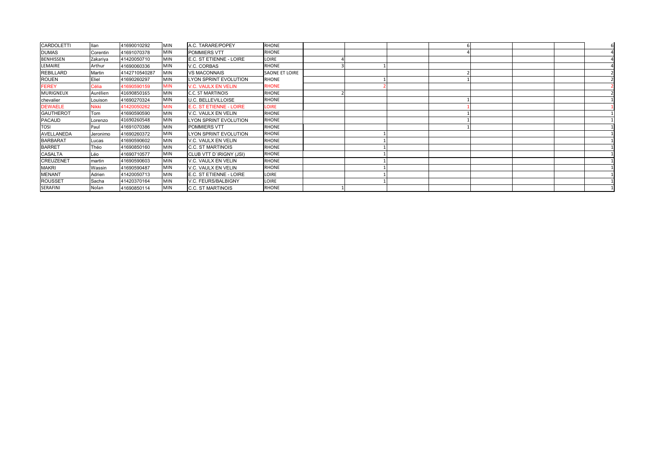| CARDOLETTI       | Illan        | 41690010292   | <b>MIN</b> | A.C. TARARE/POPEY          | <b>RHONE</b>          |  |  |  |  |
|------------------|--------------|---------------|------------|----------------------------|-----------------------|--|--|--|--|
| <b>DUMAS</b>     | Corentin     | 41691070378   | <b>MIN</b> | <b>POMMIERS VTT</b>        | <b>RHONE</b>          |  |  |  |  |
| BENHISSEN        | Zakariya     | 41420050710   | <b>MIN</b> | E.C. ST ETIENNE - LOIRE    | LOIRE                 |  |  |  |  |
| LEMAIRE          | Arthur       | 41690060336   | <b>MIN</b> | V.C. CORBAS                | <b>RHONE</b>          |  |  |  |  |
| <b>REBILLARD</b> | Martin       | 4142710540287 | <b>MIN</b> | <b>VS MACONNAIS</b>        | <b>SAONE ET LOIRE</b> |  |  |  |  |
| <b>ROUEN</b>     | Eliel        | 41690260297   | <b>MIN</b> | LYON SPRINT EVOLUTION      | <b>RHONE</b>          |  |  |  |  |
| <b>FEREY</b>     | Célia        | 11690590159   | <b>MIN</b> | <b>V.C. VAULX EN VELIN</b> | <b>RHONE</b>          |  |  |  |  |
| <b>MURIGNEUX</b> | Aurélien     | 41690850165   | <b>MIN</b> | <b>C.C. ST MARTINOIS</b>   | <b>RHONE</b>          |  |  |  |  |
| chevalier        | Louison      | 41690270324   | <b>MIN</b> | <b>U.C. BELLEVILLOISE</b>  | <b>RHONE</b>          |  |  |  |  |
| <b>DEWAELE</b>   | <b>Nikki</b> | 41420050262   | <b>MIN</b> | E.C. ST ETIENNE - LOIRE    | <b>LOIRE</b>          |  |  |  |  |
| <b>GAUTHEROT</b> | Tom          | 41690590590   | <b>MIN</b> | V.C. VAULX EN VELIN        | <b>RHONE</b>          |  |  |  |  |
| <b>PACAUD</b>    | Lorenzo      | 41690260548   | <b>MIN</b> | LYON SPRINT EVOLUTION      | <b>RHONE</b>          |  |  |  |  |
| <b>TOSI</b>      | Paul         | 41691070386   | <b>MIN</b> | POMMIERS VTT               | <b>RHONE</b>          |  |  |  |  |
| AVELLANEDA       | Jeronimo     | 41690260372   | <b>MIN</b> | LYON SPRINT EVOLUTION      | <b>RHONE</b>          |  |  |  |  |
| <b>BARBARAT</b>  | Lucas        | 41690590602   | <b>MIN</b> | V.C. VAULX EN VELIN        | <b>RHONE</b>          |  |  |  |  |
| <b>BARRET</b>    | Théo         | 41690850160   | <b>MIN</b> | <b>C.C. ST MARTINOIS</b>   | <b>RHONE</b>          |  |  |  |  |
| CASALTA          | Léo          | 41690710577   | <b>MIN</b> | CLUB VTT D'IRIGNY (JSI)    | <b>RHONE</b>          |  |  |  |  |
| CREUZENET        | martin       | 41690590603   | <b>MIN</b> | V.C. VAULX EN VELIN        | <b>RHONE</b>          |  |  |  |  |
| <b>MAKRI</b>     | Wassin       | 41690590487   | <b>MIN</b> | V.C. VAULX EN VELIN        | <b>RHONE</b>          |  |  |  |  |
| <b>MENANT</b>    | Adrien       | 41420050713   | <b>MIN</b> | E.C. ST ETIENNE - LOIRE    | LOIRE                 |  |  |  |  |
| <b>ROUSSET</b>   | Sacha        | 41420370164   | <b>MIN</b> | V.C. FEURS/BALBIGNY        | LOIRE                 |  |  |  |  |
| SERAFINI         | Nolan        | 41690850114   | <b>MIN</b> | <b>C.C. ST MARTINOIS</b>   | <b>RHONE</b>          |  |  |  |  |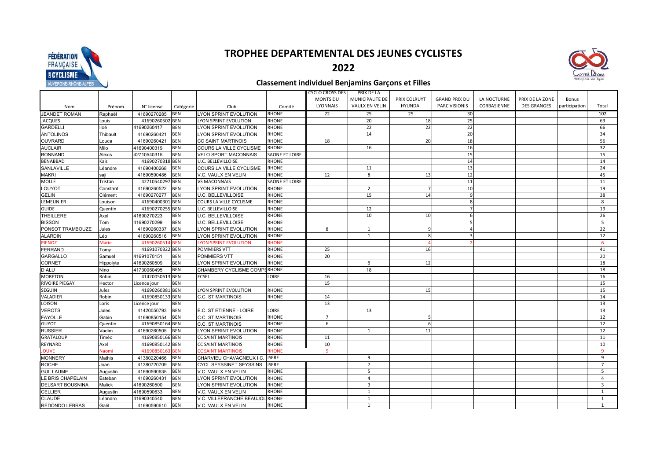



### 2022

#### Classement individuel Benjamins Garçons et Filles

|                         |              |                 |             |                              |                       | <b>CYCLO CROSS DES</b> | PRIX DE LA            |                |                      |             |                    |               |                |
|-------------------------|--------------|-----------------|-------------|------------------------------|-----------------------|------------------------|-----------------------|----------------|----------------------|-------------|--------------------|---------------|----------------|
|                         |              |                 |             |                              |                       | <b>MONTS DU</b>        | MUNICIPALITE DE       | PRIX COLRUYT   | <b>GRAND PRIX DU</b> | LA NOCTURNE | PRIX DE LA ZONE    | Bonus         |                |
| Nom                     | Prénom       | N° license      | Catégorie   | Club                         | Comité                | <b>LYONNAIS</b>        | <b>VAULX EN VELIN</b> | <b>HYUNDAI</b> | <b>PARC VISIONIS</b> | CORBASIENNE | <b>DES GRANGES</b> | participation | Total          |
| <b>JEANDET ROMAN</b>    | Raphaël      | 41690270285     | <b>IBEN</b> | <b>LYON SPRINT EVOLUTION</b> | <b>RHONE</b>          | 22                     | 25                    | 25             | 30                   |             |                    |               | 102            |
| <b>JACQUES</b>          | Louis        | 41690260502 BEN |             | LYON SPRINT EVOLUTION        | <b>RHONE</b>          |                        | 20                    | 18             | 25                   |             |                    |               | 63             |
| <b>GARDELLI</b>         | lloé         | 11690260417     | <b>BEN</b>  | LYON SPRINT EVOLUTION        | <b>RHONE</b>          |                        | 22                    | 22             | 22                   |             |                    |               | 66             |
| <b>ANTOLINOS</b>        | Thibault     | 41690260421     | <b>BEN</b>  | LYON SPRINT EVOLUTION        | <b>RHONE</b>          |                        | 14                    |                | 20                   |             |                    |               | 34             |
| <b>OUVRARD</b>          | Louca        | 41690260421     | <b>BEN</b>  | <b>CC SAINT MARTINOIS</b>    | <b>RHONE</b>          | 18                     |                       | 20             | 18                   |             |                    |               | 56             |
| <b>AUCLAIR</b>          | Milo         | 41690400319     | <b>BEN</b>  | COURS LA VILLE CYCLISME      | <b>RHONE</b>          |                        | 16                    |                | 16                   |             |                    |               | 32             |
| <b>BONNAND</b>          | Alexis       | 42710540315     | <b>BEN</b>  | <b>VELO SPORT MACONNAIS</b>  | SAONE ET LOIRE        |                        |                       |                | 15                   |             |                    |               | 15             |
| <b>BENABBAD</b>         | Kais         | 41690270318 BEN |             | U.C. BELLEVILLOISE           | <b>RHONE</b>          |                        |                       |                | 14                   |             |                    |               | 14             |
| SANLAVILLE              | Léandre      | 41690400268     | <b>BEN</b>  | COURS LA VILLE CYCLISME      | <b>RHONE</b>          |                        | 11                    |                | 13                   |             |                    |               | 24             |
| <b>MAKRI</b>            | saji         | 41690590486     | <b>BEN</b>  | V.C. VAULX EN VELIN          | <b>RHONE</b>          | 12                     | 8                     | 13             | 12                   |             |                    |               | 45             |
| <b>MOLLE</b>            | Tristan      | 42710540297 BEN |             | <b>VS MACONNAIS</b>          | <b>SAONE ET LOIRE</b> |                        |                       |                | 11                   |             |                    |               | 11             |
| LOUYOT                  | Constant     | 41690260522     | <b>BEN</b>  | LYON SPRINT EVOLUTION        | <b>RHONE</b>          |                        | $\overline{2}$        | $\overline{7}$ | 10                   |             |                    |               | 19             |
| <b>GELIN</b>            | Clément      | 41690270277     | <b>BEN</b>  | <b>U.C. BELLEVILLOISE</b>    | <b>RHONE</b>          |                        | 15                    | 14             |                      |             |                    |               | 38             |
| LEMEUNIER               | Louison      | 41690400301 BEN |             | COURS LA VILLE CYCLISME      | <b>RHONE</b>          |                        |                       |                |                      |             |                    |               | 8              |
| <b>GUIDE</b>            | Quentin      | 41690270255 BEN |             | <b>U.C. BELLEVILLOISE</b>    | <b>RHONE</b>          |                        | 12                    |                |                      |             |                    |               | 19             |
| <b>THEILLERE</b>        | Axel         | 41690270223     | <b>BEN</b>  | <b>U.C. BELLEVILLOISE</b>    | <b>RHONE</b>          |                        | 10                    | 10             |                      |             |                    |               | 26             |
| <b>BISSON</b>           | Tom          | 11690270299     | <b>BEN</b>  | <b>U.C. BELLEVILLOISE</b>    | <b>RHONE</b>          |                        |                       |                |                      |             |                    |               | 5              |
| PONSOT TRAMBOUZE        | Jules        | 41690260337     | <b>BEN</b>  | LYON SPRINT EVOLUTION        | <b>RHONE</b>          | 8                      | 1                     |                |                      |             |                    |               | 22             |
| <b>ALARDIN</b>          | Léo          | 41690260516     | <b>BEN</b>  | LYON SPRINT EVOLUTION        | <b>RHONE</b>          |                        | 1                     | 8              |                      |             |                    |               | 12             |
| <b>PIENOZ</b>           | Marie        | 41690260514 BEN |             | <b>LYON SPRINT EVOLUTION</b> | <b>RHONE</b>          |                        |                       |                |                      |             |                    |               | 6              |
| FERRAND                 | Tomy         | 41691070322 BEN |             | POMMIERS VTT                 | <b>RHONE</b>          | 25                     |                       | 16             |                      |             |                    |               | 41             |
| <b>GARGALLO</b>         | Samuel       | 41691070151     | <b>BEN</b>  | <b>POMMIERS VTT</b>          | <b>RHONE</b>          | 20                     |                       |                |                      |             |                    |               | 20             |
| <b>CORNET</b>           | Hippolyte    | 41690260509     | <b>BEN</b>  | LYON SPRINT EVOLUTION        | RHONE                 |                        | 6                     | 12             |                      |             |                    |               | 18             |
| <b>D ALU</b>            | <b>Nino</b>  | 41730060495     | <b>BEN</b>  | CHAMBERY CYCLISME COMPERHONE |                       |                        | 18                    |                |                      |             |                    |               | 18             |
| <b>MORETON</b>          | Robin        | 41420050613 BEN |             | <b>ECSEL</b>                 | <b>LOIRE</b>          | 16                     |                       |                |                      |             |                    |               | 16             |
| <b>RIVOIRE PIEGAY</b>   | Hector       | Licence jour    | <b>BEN</b>  |                              |                       | 15                     |                       |                |                      |             |                    |               | 15             |
| <b>SEGUIN</b>           | Jules        | 41690260381 BEN |             | LYON SPRINT EVOLUTION        | <b>RHONE</b>          |                        |                       | 15             |                      |             |                    |               | 15             |
| VALADIER                | Robin        | 41690850133 BEN |             | <b>C.C. ST MARTINOIS</b>     | <b>RHONE</b>          | 14                     |                       |                |                      |             |                    |               | 14             |
| <b>LOISON</b>           | Loris        | Licence jour    | <b>BEN</b>  |                              |                       | 13                     |                       |                |                      |             |                    |               | 13             |
| <b>VEROTS</b>           | Jules        | 41420050793     | <b>BEN</b>  | E.C. ST ETIENNE - LOIRE      | LOIRE                 |                        | 13                    |                |                      |             |                    |               | 13             |
| <b>FAYOLLE</b>          | Gabin        | 41690850154     | <b>BEN</b>  | <b>C.C. ST MARTINOIS</b>     | <b>RHONE</b>          | $\overline{7}$         |                       |                |                      |             |                    |               | 12             |
| <b>GUYOT</b>            | Quentin      | 41690850164 BEN |             | <b>C.C. ST MARTINOIS</b>     | <b>RHONE</b>          | 6                      |                       | 6              |                      |             |                    |               | 12             |
| <b>RUSSIER</b>          | Vadim        | 41690260505     | <b>BEN</b>  | LYON SPRINT EVOLUTION        | <b>RHONE</b>          |                        | 1                     | 11             |                      |             |                    |               | 12             |
| <b>GRATALOUP</b>        | Timéo        | 41690850166 BEN |             | <b>CC SAINT MARTINOIS</b>    | <b>RHONE</b>          | 11                     |                       |                |                      |             |                    |               | 11             |
| REYNARD                 | Axel         | 41690850142 BEN |             | <b>CC SAINT MARTINOIS</b>    | <b>RHONE</b>          | 10                     |                       |                |                      |             |                    |               | 10             |
| <b>JOUVE</b>            | <b>Naomi</b> | 41690850163 BEN |             | <b>CC SAINT MARTINOIS</b>    | <b>RHONE</b>          | 9                      |                       |                |                      |             |                    |               | -9             |
| <b>MONNERY</b>          | Mathis       | 41380220466     | <b>BEN</b>  | CHARVIEU CHAVAGNEUX I.C.     | ISERE                 |                        | 9                     |                |                      |             |                    |               | 9              |
| <b>ROCHE</b>            | Joan         | 41380720709     | <b>BEN</b>  | CYCL SEYSSINET SEYSSINS      | <b>ISERE</b>          |                        | $\overline{7}$        |                |                      |             |                    |               | $\overline{7}$ |
| <b>GUILLAUME</b>        | Augustin     | 41690590635     | <b>BEN</b>  | V.C. VAULX EN VELIN          | <b>RHONE</b>          |                        | 5                     |                |                      |             |                    |               | 5              |
| LE BRIS CHAPELAIN       | Esteban      | 41690260431     | <b>BEN</b>  | <b>LYON SPRINT EVOLUTION</b> | <b>RHONE</b>          |                        | 4                     |                |                      |             |                    |               | 4              |
| <b>DELSART BOUSNINA</b> | Malick       | 41690260500     | <b>BEN</b>  | LYON SPRINT EVOLUTION        | <b>RHONE</b>          |                        | 3                     |                |                      |             |                    |               | 3              |
| <b>CELLIER</b>          | Augustin     | 11690590633     | <b>BEN</b>  | V.C. VAULX EN VELIN          | <b>RHONE</b>          |                        | $\mathbf{1}$          |                |                      |             |                    |               | 1              |
| <b>CLAUDE</b>           | Léandro      | 41690340540     | <b>BEN</b>  | V.C. VILLEFRANCHE BEAUJOI    | <b>RHONE</b>          |                        | $\mathbf{1}$          |                |                      |             |                    |               | 1              |
| REDONDO LEBRAS          | Gaël         | 41690590610     | <b>BEN</b>  | V.C. VAULX EN VELIN          | <b>RHONE</b>          |                        | 1                     |                |                      |             |                    |               | 1              |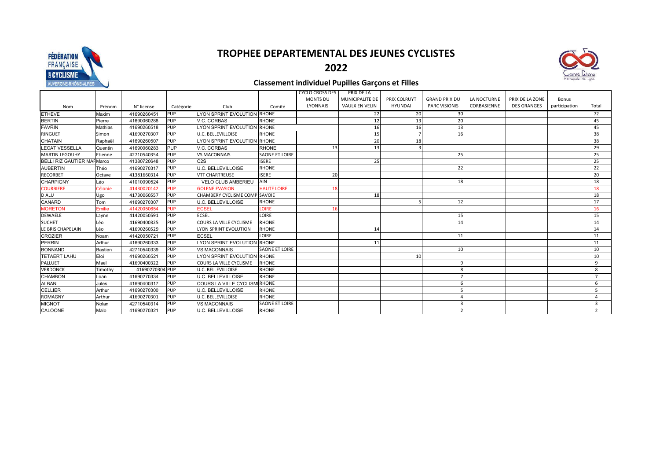



## **2022**

### **Classement individuel Pupilles Garçons et Filles**

|                            |                |                 |            |                                     |                       | <b>CYCLO CROSS DES</b> | <b>PRIX DE LA</b>     |              |                      |             |                    |               |                |
|----------------------------|----------------|-----------------|------------|-------------------------------------|-----------------------|------------------------|-----------------------|--------------|----------------------|-------------|--------------------|---------------|----------------|
|                            |                |                 |            |                                     |                       | <b>MONTS DU</b>        | MUNICIPALITE DE       | PRIX COLRUYT | <b>GRAND PRIX DU</b> | LA NOCTURNE | PRIX DE LA ZONE    | Bonus         |                |
| Nom                        | Prénom         | N° license      | Catégorie  | Club                                | Comité                | <b>LYONNAIS</b>        | <b>VAULX EN VELIN</b> | HYUNDAI      | <b>PARC VISIONIS</b> | CORBASIENNE | <b>DES GRANGES</b> | participation | Total          |
| <b>ETHEVE</b>              | Maxim          | 41690260451     | <b>PUP</b> | LYON SPRINT EVOLUTION RHONE         |                       |                        | 22                    | 20           | 30                   |             |                    |               | 72             |
| <b>BERTIN</b>              | Pierre         | 41690060288     | <b>PUP</b> | V.C. CORBAS                         | <b>RHONE</b>          |                        | 12                    | 13           | 20                   |             |                    |               | 45             |
| <b>FAVRIN</b>              | <b>Mathias</b> | 41690260518     | <b>PUP</b> | LYON SPRINT EVOLUTION RHONE         |                       |                        | 16                    | 16           | 13                   |             |                    |               | 45             |
| <b>RINGUET</b>             | Simon          | 41690270307     | <b>PUP</b> | <b>U.C. BELLEVILLOISE</b>           | <b>RHONE</b>          |                        | 15                    |              | 16                   |             |                    |               | 38             |
| <b>CHATAIN</b>             | Raphaël        | 41690260507     | <b>PUP</b> | LYON SPRINT EVOLUTION RHONE         |                       |                        | 20                    | 18           |                      |             |                    |               | 38             |
| <b>LECAT VESSELLA</b>      | Quentin        | 41690060283     | <b>PUP</b> | V.C. CORBAS                         | <b>RHONE</b>          | 13                     | 13                    |              |                      |             |                    |               | 29             |
| <b>MARTIN LEGOUHY</b>      | Etienne        | 42710540354     | <b>PUP</b> | <b>VS MACONNAIS</b>                 | <b>SAONE ET LOIRE</b> |                        |                       |              | 25                   |             |                    |               | 25             |
| BELLI RIZ GAUTIER MAHMarco |                | 41380720648     | <b>PUP</b> | C <sub>2</sub> S                    | <b>ISERE</b>          |                        | 25                    |              |                      |             |                    |               | 25             |
| <b>AUBERTIN</b>            | Théo           | 41690270317     | <b>PUP</b> | <b>U.C. BELLEVILLOISE</b>           | <b>RHONE</b>          |                        |                       |              | 22                   |             |                    |               | 22             |
| <b>RECORBET</b>            | Octave         | 41381660314     | <b>PUP</b> | <b>VTT CHARTREUSE</b>               | <b>ISERE</b>          | 20                     |                       |              |                      |             |                    |               | 20             |
| <b>CHARPIGNY</b>           | Léo            | 41010090524     | <b>PUP</b> | <b>VELO CLUB AMBERIEU</b>           | <b>AIN</b>            |                        |                       |              | 18                   |             |                    |               | 18             |
| <b>COURBIERE</b>           | Célonie        | 41430020142     | <b>PUP</b> | <b>GOLENE EVASION</b>               | <b>HAUTE LOIRE</b>    | 18                     |                       |              |                      |             |                    |               | 18             |
| <b>D ALU</b>               | Ugo            | 41730060557     | <b>PUP</b> | CHAMBERY CYCLISME COMPISAVOIE       |                       |                        | 18                    |              |                      |             |                    |               | 18             |
| CANARD                     | Tom            | 41690270307     | <b>PUP</b> | U.C. BELLEVILLOISE                  | <b>RHONE</b>          |                        |                       |              | 12                   |             |                    |               | 17             |
| <b>MORETON</b>             | Emilie         | 41420050654     | <b>PUP</b> | ECSEL                               | <b>LOIRE</b>          | 16                     |                       |              |                      |             |                    |               | 16             |
| <b>DEWAELE</b>             | Layne          | 41420050591     | <b>PUP</b> | <b>ECSEL</b>                        | <b>LOIRE</b>          |                        |                       |              | 15                   |             |                    |               | 15             |
| <b>SUCHET</b>              | Léo            | 41690400325     | <b>PUP</b> | <b>COURS LA VILLE CYCLISME</b>      | <b>RHONE</b>          |                        |                       |              | 14                   |             |                    |               | 14             |
| LE BRIS CHAPELAIN          | Léo            | 41690260529     | <b>PUP</b> | LYON SPRINT EVOLUTION               | <b>RHONE</b>          |                        | 14                    |              |                      |             |                    |               | 14             |
| <b>CROZIER</b>             | Noam           | 41420050721     | <b>PUP</b> | <b>ECSEL</b>                        | LOIRE                 |                        |                       |              | 11                   |             |                    |               | 11             |
| <b>PERRIN</b>              | Arthur         | 41690260333     | <b>PUP</b> | LYON SPRINT EVOLUTION RHONE         |                       |                        | 11                    |              |                      |             |                    |               | 11             |
| <b>BONNAND</b>             | <b>Bastien</b> | 42710540339     | <b>PUP</b> | <b>VS MACONNAIS</b>                 | <b>SAONE ET LOIRE</b> |                        |                       |              | 10                   |             |                    |               | 10             |
| <b>TETAERT LAHU</b>        | Eloi           | 41690260521     | <b>PUP</b> | LYON SPRINT EVOLUTION RHONE         |                       |                        |                       | 10           |                      |             |                    |               | 10             |
| <b>PALLUET</b>             | Mael           | 41690400322     | <b>PUP</b> | COURS LA VILLE CYCLISME             | <b>RHONE</b>          |                        |                       |              |                      |             |                    |               | 9              |
| <b>VERDONCK</b>            | Timothy        | 41690270304 PUP |            | <b>U.C. BELLEVILLOISE</b>           | <b>RHONE</b>          |                        |                       |              |                      |             |                    |               | 8              |
| <b>CHAMBON</b>             | Loan           | 41690270334     | <b>PUP</b> | <b>U.C. BELLEVILLOISE</b>           | <b>RHONE</b>          |                        |                       |              |                      |             |                    |               |                |
| <b>ALBAN</b>               | Jules          | 41690400317     | <b>PUP</b> | <b>COURS LA VILLE CYCLISMERHONE</b> |                       |                        |                       |              |                      |             |                    |               | 6              |
| <b>CELLIER</b>             | Arthur         | 41690270300     | <b>PUP</b> | <b>U.C. BELLEVILLOISE</b>           | <b>RHONE</b>          |                        |                       |              |                      |             |                    |               | 5              |
| <b>ROMAGNY</b>             | Arthur         | 41690270301     | <b>PUP</b> | <b>U.C. BELLEVILLOISE</b>           | <b>RHONE</b>          |                        |                       |              |                      |             |                    |               | $\Delta$       |
| <b>MIGNOT</b>              | Nolan          | 42710540314     | <b>PUP</b> | <b>VS MACONNAIS</b>                 | <b>SAONE ET LOIRE</b> |                        |                       |              |                      |             |                    |               | Э              |
| CALOONE                    | Malo           | 41690270321     | <b>PUP</b> | <b>U.C. BELLEVILLOISE</b>           | <b>RHONE</b>          |                        |                       |              |                      |             |                    |               | $\overline{2}$ |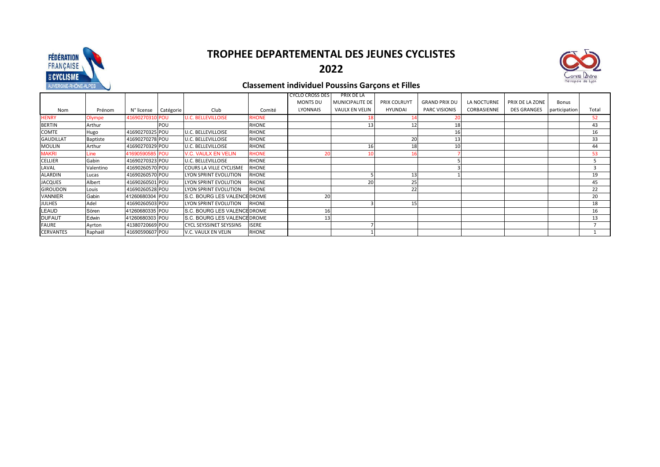



### **Classement individuel Poussins Garçons et Filles**

|                  |           |                 |           |                                |              | <b>CYCLO CROSS DES</b> | PRIX DE LA            |                |                      |             |                    |               |              |
|------------------|-----------|-----------------|-----------|--------------------------------|--------------|------------------------|-----------------------|----------------|----------------------|-------------|--------------------|---------------|--------------|
|                  |           |                 |           |                                |              | <b>MONTS DU</b>        | MUNICIPALITE DE       | PRIX COLRUYT   | <b>GRAND PRIX DU</b> | LA NOCTURNE | PRIX DE LA ZONE    | Bonus         |              |
| Nom              | Prénom    | N° license      | Catégorie | Club                           | Comité       | <b>LYONNAIS</b>        | <b>VAULX EN VELIN</b> | <b>HYUNDAI</b> | PARC VISIONIS        | CORBASIENNE | <b>DES GRANGES</b> | participation | Total        |
| <b>HENRY</b>     | Olympe    | 41690270310 POU |           | <b>U.C. BELLEVILLOISE</b>      | <b>RHONE</b> |                        |                       |                |                      |             |                    |               | 52           |
| <b>BERTIN</b>    | Arthur    |                 | POU       |                                | <b>RHONE</b> |                        |                       |                | 18                   |             |                    |               | 43           |
| COMTE            | Hugo      | 41690270325 POU |           | <b>U.C. BELLEVILLOISE</b>      | <b>RHONE</b> |                        |                       |                | 16                   |             |                    |               | 16           |
| <b>GAUDILLAT</b> | Baptiste  | 41690270278 POU |           | U.C. BELLEVILLOISE             | <b>RHONE</b> |                        |                       | 20             | 13                   |             |                    |               | 33           |
| <b>MOULIN</b>    | Arthur    | 41690270329 POU |           | U.C. BELLEVILLOISE             | <b>RHONE</b> |                        | 16                    |                | 10                   |             |                    |               | 44           |
| <b>MAKRI</b>     | Line      | 41690590585 POU |           | <b>V.C. VAULX EN VELIN</b>     | <b>RHONE</b> |                        |                       |                |                      |             |                    |               | 53           |
| <b>CELLIER</b>   | Gabin     | 41690270323 POU |           | <b>U.C. BELLEVILLOISE</b>      | <b>RHONE</b> |                        |                       |                |                      |             |                    |               |              |
| LAVAL            | Valentino | 41690260570 POU |           | COURS LA VILLE CYCLISME        | <b>RHONE</b> |                        |                       |                |                      |             |                    |               | $\mathbf{a}$ |
| <b>ALARDIN</b>   | Lucas     | 41690260570 POU |           | LYON SPRINT EVOLUTION          | <b>RHONE</b> |                        |                       |                |                      |             |                    |               | 19           |
| <b>JACQUES</b>   | Albert    | 41690260501 POU |           | <b>LYON SPRINT EVOLUTION</b>   | <b>RHONE</b> |                        |                       | 25             |                      |             |                    |               | 45           |
| <b>GIROUDON</b>  | Louis     | 41690260528 POU |           | <b>LYON SPRINT EVOLUTION</b>   | <b>RHONE</b> |                        |                       | 22             |                      |             |                    |               | 22           |
| <b>VANNIER</b>   | Gabin     | 41260680304 POU |           | S.C. BOURG LES VALENCE DROME   |              | 20                     |                       |                |                      |             |                    |               | 20           |
| <b>JULHES</b>    | Adel      | 41690260503 POU |           | <b>LYON SPRINT EVOLUTION</b>   | <b>RHONE</b> |                        |                       | 15             |                      |             |                    |               | 18           |
| <b>LEAUD</b>     | Sören     | 41260680335 POU |           | S.C. BOURG LES VALENCE DROME   |              | 16                     |                       |                |                      |             |                    |               | 16           |
| <b>DUFAUT</b>    | Edwin     | 41260680303 POU |           | S.C. BOURG LES VALENCE DROME   |              |                        |                       |                |                      |             |                    |               | 13           |
| <b>FAURE</b>     | Ayrton    | 41380720669 POU |           | <b>CYCL SEYSSINET SEYSSINS</b> | <b>ISERE</b> |                        |                       |                |                      |             |                    |               |              |
| <b>CERVANTES</b> | Raphaël   | 41690590607 POU |           | V.C. VAULX EN VELIN            | <b>RHONE</b> |                        |                       |                |                      |             |                    |               |              |